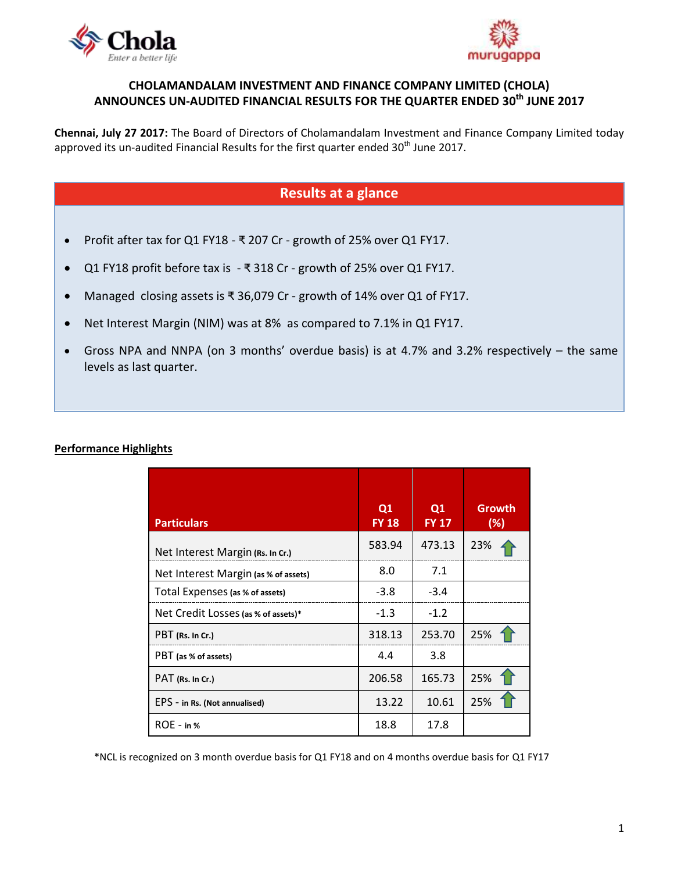



## **CHOLAMANDALAM INVESTMENT AND FINANCE COMPANY LIMITED (CHOLA) ANNOUNCES UN-AUDITED FINANCIAL RESULTS FOR THE QUARTER ENDED 30 th JUNE 2017**

**Chennai, July 27 2017:** The Board of Directors of Cholamandalam Investment and Finance Company Limited today approved its un-audited Financial Results for the first quarter ended 30<sup>th</sup> June 2017.

# **Results at a glance**

- Profit after tax for Q1 FY18 ₹ 207 Cr growth of 25% over Q1 FY17.
- Q1 FY18 profit before tax is ₹ 318 Cr growth of 25% over Q1 FY17.
- Managed closing assets is ₹ 36,079 Cr growth of 14% over Q1 of FY17.
- Net Interest Margin (NIM) was at 8% as compared to 7.1% in Q1 FY17.
- Gross NPA and NNPA (on 3 months' overdue basis) is at 4.7% and 3.2% respectively the same levels as last quarter.

## **Performance Highlights**

| <b>Particulars</b>                   | Q1<br><b>FY 18</b> | Q1<br><b>FY 17</b> | <b>Growth</b><br>(%) |
|--------------------------------------|--------------------|--------------------|----------------------|
| Net Interest Margin (Rs. In Cr.)     | 583.94             | 473.13             | 23%                  |
| Net Interest Margin (as % of assets) | 8.0                | 7.1                |                      |
| Total Expenses (as % of assets)      | $-3.8$             | $-3.4$             |                      |
| Net Credit Losses (as % of assets)*  | $-1.3$             | $-1.2$             |                      |
| PBT (Rs. In Cr.)                     | 318.13             | 253.70             | 25%                  |
| PBT (as % of assets)                 | 4.4                | 3.8                |                      |
| PAT (Rs. In Cr.)                     | 206.58             | 165.73             | 25%                  |
| EPS - in Rs. (Not annualised)        | 13.22              | 10.61              | 25%                  |
| $ROE - in %$                         | 18.8               | 17.8               |                      |

\*NCL is recognized on 3 month overdue basis for Q1 FY18 and on 4 months overdue basis for Q1 FY17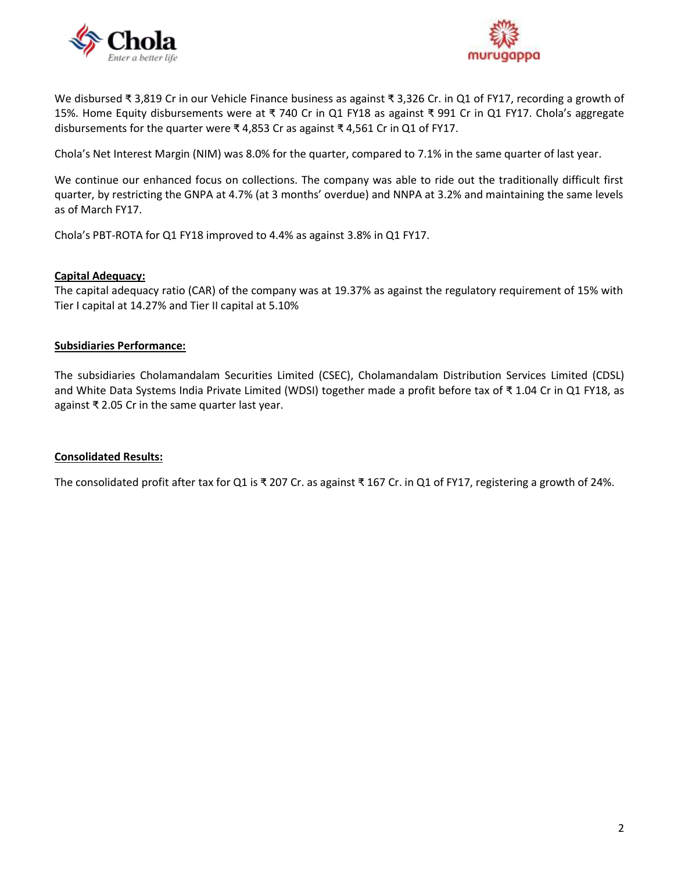



We disbursed ₹ 3,819 Cr in our Vehicle Finance business as against ₹ 3,326 Cr. in Q1 of FY17, recording a growth of 15%. Home Equity disbursements were at ₹ 740 Cr in Q1 FY18 as against ₹ 991 Cr in Q1 FY17. Chola's aggregate disbursements for the quarter were ₹ 4,853 Cr as against ₹ 4,561 Cr in Q1 of FY17.

Chola's Net Interest Margin (NIM) was 8.0% for the quarter, compared to 7.1% in the same quarter of last year.

We continue our enhanced focus on collections. The company was able to ride out the traditionally difficult first quarter, by restricting the GNPA at 4.7% (at 3 months' overdue) and NNPA at 3.2% and maintaining the same levels as of March FY17.

Chola's PBT-ROTA for Q1 FY18 improved to 4.4% as against 3.8% in Q1 FY17.

#### **Capital Adequacy:**

The capital adequacy ratio (CAR) of the company was at 19.37% as against the regulatory requirement of 15% with Tier I capital at 14.27% and Tier II capital at 5.10%

#### **Subsidiaries Performance:**

The subsidiaries Cholamandalam Securities Limited (CSEC), Cholamandalam Distribution Services Limited (CDSL) and White Data Systems India Private Limited (WDSI) together made a profit before tax of ₹ 1.04 Cr in Q1 FY18, as against ₹ 2.05 Cr in the same quarter last year.

## **Consolidated Results:**

The consolidated profit after tax for Q1 is ₹ 207 Cr. as against ₹ 167 Cr. in Q1 of FY17, registering a growth of 24%.